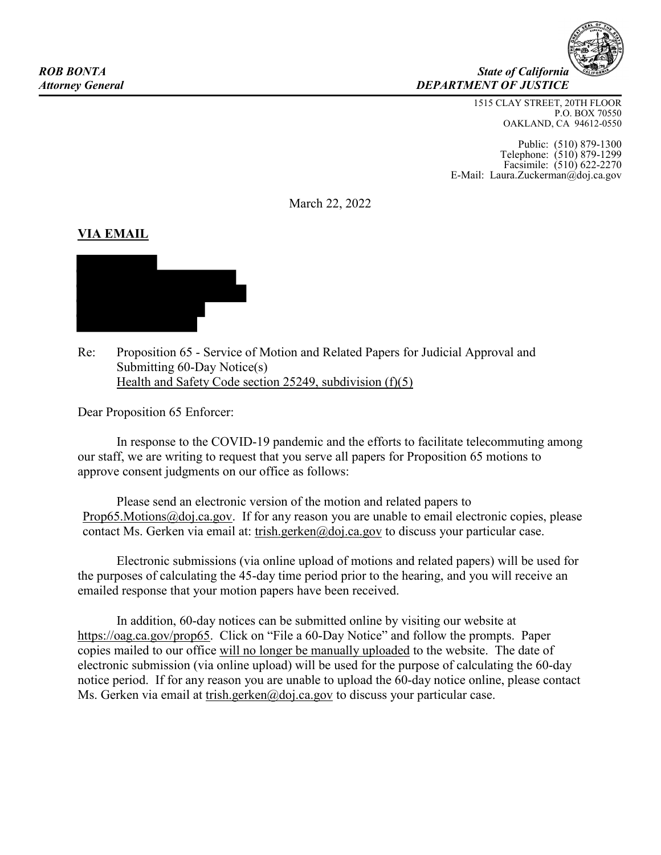

1515 CLAY STREET, 20TH FLOOR P.O. BOX 70550 OAKLAND, CA 94612-0550

Public: (510) 879-1300 Telephone: (510) 879-1299 Facsimile: (510) 622-2270 E-Mail: Laura.Zuckerman@doj.ca.gov

March 22, 2022

## **VIA EMAIL**



Re: Proposition 65 - Service of Motion and Related Papers for Judicial Approval and Submitting 60-Day Notice(s) Health and Safety Code section 25249, subdivision (f)(5)

Dear Proposition 65 Enforcer:

In response to the COVID-19 pandemic and the efforts to facilitate telecommuting among our staff, we are writing to request that you serve all papers for Proposition 65 motions to approve consent judgments on our office as follows:

Please send an electronic version of the motion and related papers to [Prop65.Motions@doj.ca.gov.](mailto:Prop65.Motions@doj.ca.gov) If for any reason you are unable to email electronic copies, please contact Ms. Gerken via email at: [trish.gerken@doj.ca.gov](mailto:trish.gerken@doj.ca.gov) to discuss your particular case.

Electronic submissions (via online upload of motions and related papers) will be used for the purposes of calculating the 45-day time period prior to the hearing, and you will receive an emailed response that your motion papers have been received.

In addition, 60-day notices can be submitted online by visiting our website at [https://oag.ca.gov/prop65.](https://oag.ca.gov/prop65) Click on "File a 60-Day Notice" and follow the prompts. Paper copies mailed to our office will no longer be manually uploaded to the website. The date of electronic submission (via online upload) will be used for the purpose of calculating the 60-day notice period. If for any reason you are unable to upload the 60-day notice online, please contact Ms. Gerken via email at [trish.gerken@doj.ca.gov](mailto:trish.gerken@doj.ca.gov) to discuss your particular case.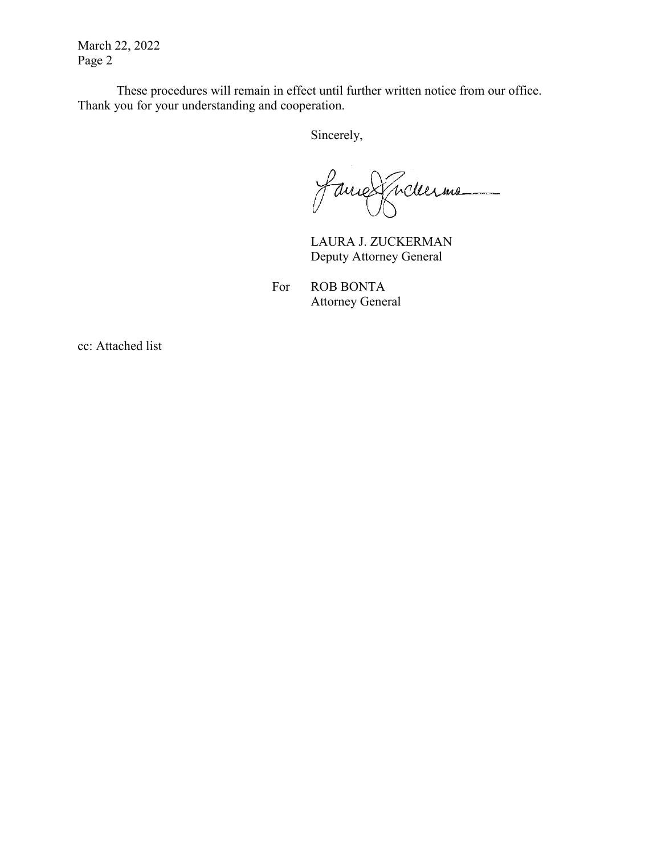March 22, 2022 Page 2

These procedures will remain in effect until further written notice from our office. Thank you for your understanding and cooperation.

Sincerely,

faire Tickerme 

LAURA J. ZUCKERMAN Deputy Attorney General

For ROB BONTA Attorney General

cc: Attached list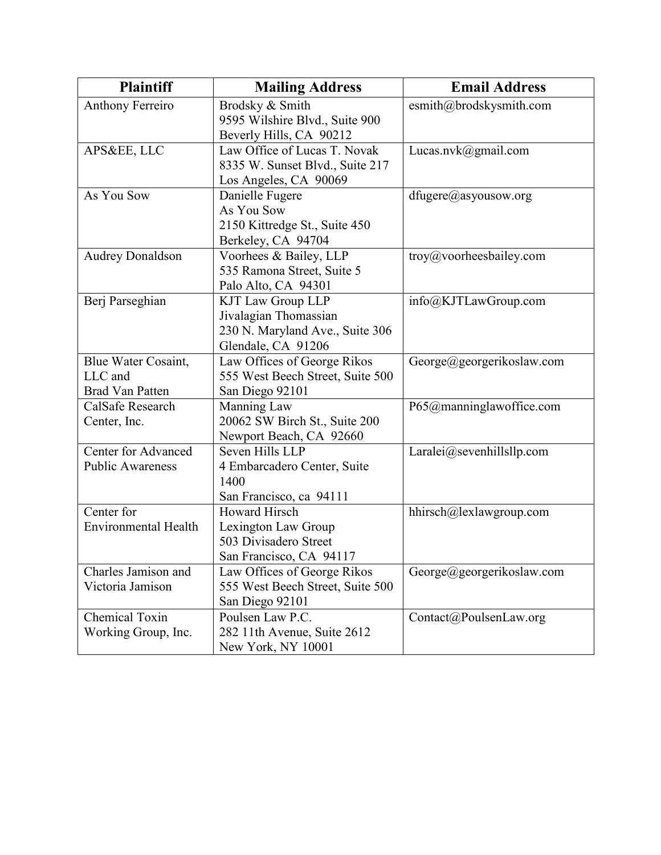| <b>Plaintiff</b>            | <b>Mailing Address</b>           | <b>Email Address</b>              |
|-----------------------------|----------------------------------|-----------------------------------|
| <b>Anthony Ferreiro</b>     | Brodsky & Smith                  | esmith@brodskysmith.com           |
|                             | 9595 Wilshire Blvd., Suite 900   |                                   |
|                             | Beverly Hills, CA 90212          |                                   |
| APS&EE, LLC                 | Law Office of Lucas T. Novak     | Lucas.nvk@gmail.com               |
|                             | 8335 W. Sunset Blvd., Suite 217  |                                   |
|                             | Los Angeles, CA 90069            |                                   |
| As You Sow                  | Danielle Fugere                  | $d \text{fugere}(a)$ asyousow.org |
|                             | As You Sow                       |                                   |
|                             | 2150 Kittredge St., Suite 450    |                                   |
|                             | Berkeley, CA 94704               |                                   |
| <b>Audrey Donaldson</b>     | Voorhees & Bailey, LLP           | troy@voorheesbailey.com           |
|                             | 535 Ramona Street, Suite 5       |                                   |
|                             | Palo Alto, CA 94301              |                                   |
| Berj Parseghian             | <b>KJT Law Group LLP</b>         | info@KJTLawGroup.com              |
|                             | Jivalagian Thomassian            |                                   |
|                             | 230 N. Maryland Ave., Suite 306  |                                   |
|                             | Glendale, CA 91206               |                                   |
| Blue Water Cosaint,         | Law Offices of George Rikos      | George@georgerikoslaw.com         |
| LLC and                     | 555 West Beech Street, Suite 500 |                                   |
| <b>Brad Van Patten</b>      | San Diego 92101                  |                                   |
| CalSafe Research            | Manning Law                      | P65@manninglawoffice.com          |
| Center, Inc.                | 20062 SW Birch St., Suite 200    |                                   |
|                             | Newport Beach, CA 92660          |                                   |
| <b>Center for Advanced</b>  | Seven Hills LLP                  | Laralei@sevenhillsllp.com         |
| <b>Public Awareness</b>     | 4 Embarcadero Center, Suite      |                                   |
|                             | 1400                             |                                   |
|                             | San Francisco, ca 94111          |                                   |
| Center for                  | <b>Howard Hirsch</b>             | hhirsch@lexlawgroup.com           |
| <b>Environmental Health</b> | Lexington Law Group              |                                   |
|                             | 503 Divisadero Street            |                                   |
|                             | San Francisco, CA 94117          |                                   |
| Charles Jamison and         | Law Offices of George Rikos      | George@georgerikoslaw.com         |
| Victoria Jamison            | 555 West Beech Street, Suite 500 |                                   |
|                             | San Diego 92101                  |                                   |
| Chemical Toxin              | Poulsen Law P.C.                 | Contact@PoulsenLaw.org            |
| Working Group, Inc.         | 282 11th Avenue, Suite 2612      |                                   |
|                             | New York, NY 10001               |                                   |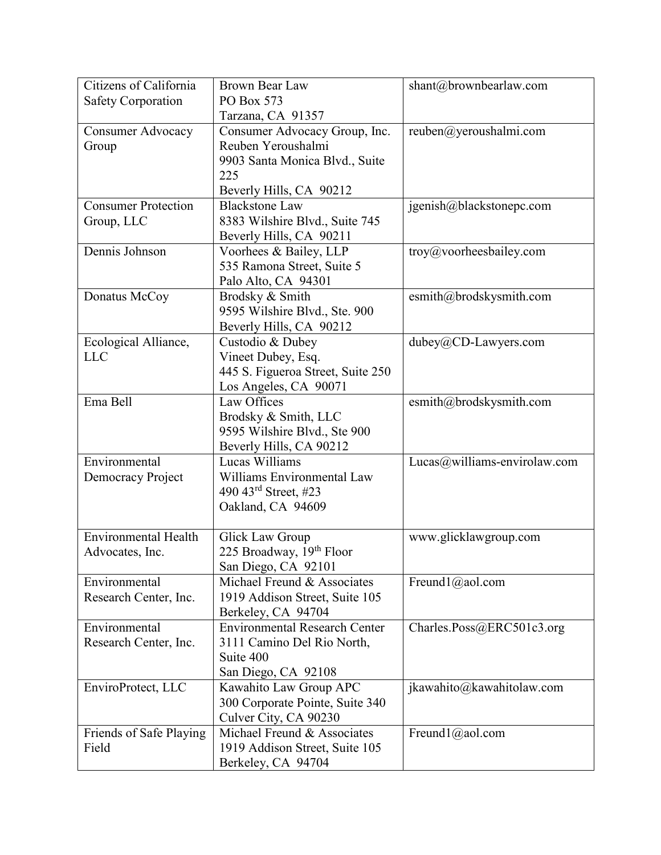| Citizens of California      | <b>Brown Bear Law</b>                     | shant@brownbearlaw.com        |
|-----------------------------|-------------------------------------------|-------------------------------|
| <b>Safety Corporation</b>   | PO Box 573                                |                               |
|                             | Tarzana, CA 91357                         |                               |
| <b>Consumer Advocacy</b>    | Consumer Advocacy Group, Inc.             | reuben@yeroushalmi.com        |
| Group                       | Reuben Yeroushalmi                        |                               |
|                             | 9903 Santa Monica Blvd., Suite            |                               |
|                             | 225                                       |                               |
|                             | Beverly Hills, CA 90212                   |                               |
| <b>Consumer Protection</b>  | <b>Blackstone Law</b>                     | jgenish@blackstonepc.com      |
| Group, LLC                  | 8383 Wilshire Blvd., Suite 745            |                               |
|                             | Beverly Hills, CA 90211                   |                               |
| Dennis Johnson              | Voorhees & Bailey, LLP                    | troy@voorheesbailey.com       |
|                             | 535 Ramona Street, Suite 5                |                               |
|                             | Palo Alto, CA 94301                       |                               |
| Donatus McCoy               | Brodsky & Smith                           | esmith@brodskysmith.com       |
|                             | 9595 Wilshire Blvd., Ste. 900             |                               |
|                             | Beverly Hills, CA 90212                   |                               |
| Ecological Alliance,        | Custodio & Dubey                          | dubey@CD-Lawyers.com          |
| <b>LLC</b>                  | Vineet Dubey, Esq.                        |                               |
|                             | 445 S. Figueroa Street, Suite 250         |                               |
|                             | Los Angeles, CA 90071                     |                               |
| Ema Bell                    | Law Offices                               | esmith@brodskysmith.com       |
|                             | Brodsky & Smith, LLC                      |                               |
|                             | 9595 Wilshire Blvd., Ste 900              |                               |
| Environmental               | Beverly Hills, CA 90212<br>Lucas Williams |                               |
|                             | Williams Environmental Law                | Lucas@williams-envirolaw.com  |
| Democracy Project           | 490 $43^{\text{rd}}$ Street, #23          |                               |
|                             | Oakland, CA 94609                         |                               |
|                             |                                           |                               |
| <b>Environmental Health</b> | <b>Glick Law Group</b>                    | www.glicklawgroup.com         |
| Advocates, Inc.             | 225 Broadway, 19th Floor                  |                               |
|                             | San Diego, CA 92101                       |                               |
| Environmental               | Michael Freund & Associates               | Freund $1$ ( $\omega$ aol.com |
| Research Center, Inc.       | 1919 Addison Street, Suite 105            |                               |
|                             | Berkeley, CA 94704                        |                               |
| Environmental               | <b>Environmental Research Center</b>      | Charles.Poss@ERC501c3.org     |
| Research Center, Inc.       | 3111 Camino Del Rio North,                |                               |
|                             | Suite 400                                 |                               |
|                             | San Diego, CA 92108                       |                               |
| EnviroProtect, LLC          | Kawahito Law Group APC                    | jkawahito@kawahitolaw.com     |
|                             | 300 Corporate Pointe, Suite 340           |                               |
|                             | Culver City, CA 90230                     |                               |
| Friends of Safe Playing     | Michael Freund & Associates               | Freund $1$ ( $\omega$ aol.com |
| Field                       | 1919 Addison Street, Suite 105            |                               |
|                             | Berkeley, CA 94704                        |                               |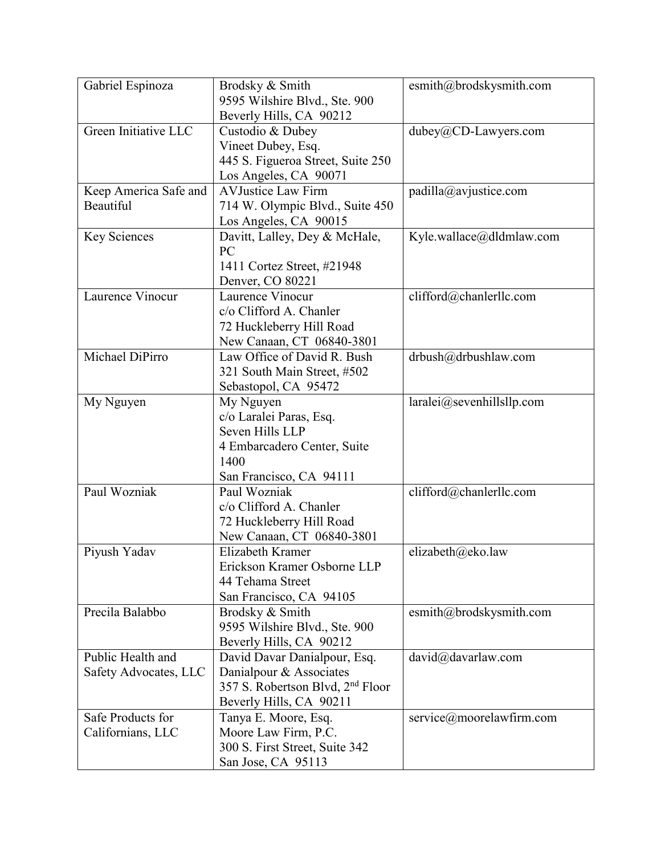| Gabriel Espinoza      | Brodsky & Smith                              | esmith@brodskysmith.com      |
|-----------------------|----------------------------------------------|------------------------------|
|                       | 9595 Wilshire Blvd., Ste. 900                |                              |
|                       | Beverly Hills, CA 90212                      |                              |
| Green Initiative LLC  | Custodio & Dubey                             | dubey@CD-Lawyers.com         |
|                       | Vineet Dubey, Esq.                           |                              |
|                       | 445 S. Figueroa Street, Suite 250            |                              |
|                       | Los Angeles, CA 90071                        |                              |
| Keep America Safe and | <b>AVJustice Law Firm</b>                    | padilla@avjustice.com        |
| Beautiful             | 714 W. Olympic Blvd., Suite 450              |                              |
|                       | Los Angeles, CA 90015                        |                              |
| <b>Key Sciences</b>   | Davitt, Lalley, Dey & McHale,                | Kyle.wallace@dldmlaw.com     |
|                       | PC                                           |                              |
|                       | 1411 Cortez Street, #21948                   |                              |
|                       | Denver, CO 80221                             |                              |
| Laurence Vinocur      | Laurence Vinocur                             | clifford@chanlerllc.com      |
|                       | c/o Clifford A. Chanler                      |                              |
|                       | 72 Huckleberry Hill Road                     |                              |
|                       | New Canaan, CT 06840-3801                    |                              |
| Michael DiPirro       | Law Office of David R. Bush                  | drbush@drbushlaw.com         |
|                       | 321 South Main Street, #502                  |                              |
|                       | Sebastopol, CA 95472                         |                              |
| My Nguyen             | My Nguyen                                    | $laralei@$ sevenhillsllp.com |
|                       | c/o Laralei Paras, Esq.                      |                              |
|                       | Seven Hills LLP                              |                              |
|                       | 4 Embarcadero Center, Suite                  |                              |
|                       | 1400                                         |                              |
|                       | San Francisco, CA 94111                      |                              |
| Paul Wozniak          | Paul Wozniak                                 | clifford@chanlerllc.com      |
|                       | c/o Clifford A. Chanler                      |                              |
|                       | 72 Huckleberry Hill Road                     |                              |
|                       | New Canaan, CT 06840-3801                    |                              |
| Piyush Yadav          | Elizabeth Kramer                             | elizabeth@eko.law            |
|                       | Erickson Kramer Osborne LLP                  |                              |
|                       | 44 Tehama Street                             |                              |
|                       | San Francisco, CA 94105                      |                              |
| Precila Balabbo       | Brodsky & Smith                              | esmith@brodskysmith.com      |
|                       | 9595 Wilshire Blvd., Ste. 900                |                              |
|                       | Beverly Hills, CA 90212                      |                              |
| Public Health and     | David Davar Danialpour, Esq.                 | david@davarlaw.com           |
| Safety Advocates, LLC | Danialpour & Associates                      |                              |
|                       | 357 S. Robertson Blvd, 2 <sup>nd</sup> Floor |                              |
|                       | Beverly Hills, CA 90211                      |                              |
| Safe Products for     | Tanya E. Moore, Esq.                         | service@moorelawfirm.com     |
| Californians, LLC     | Moore Law Firm, P.C.                         |                              |
|                       | 300 S. First Street, Suite 342               |                              |
|                       | San Jose, CA 95113                           |                              |